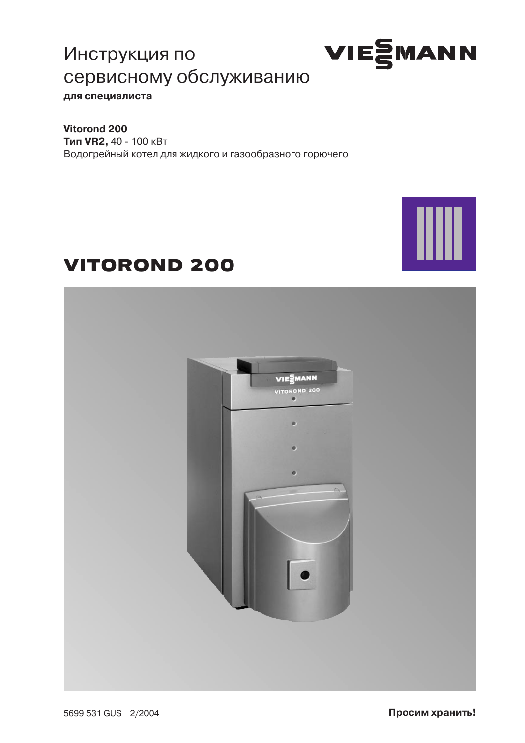# Инструкция по сервисному обслуживанию

для специалиста

Vitorond 200 Тип VR2, 40 - 100 кВт Водогрейный котел для жидкого и газообразного горючего

# **VITOROND 200**



VIESMANN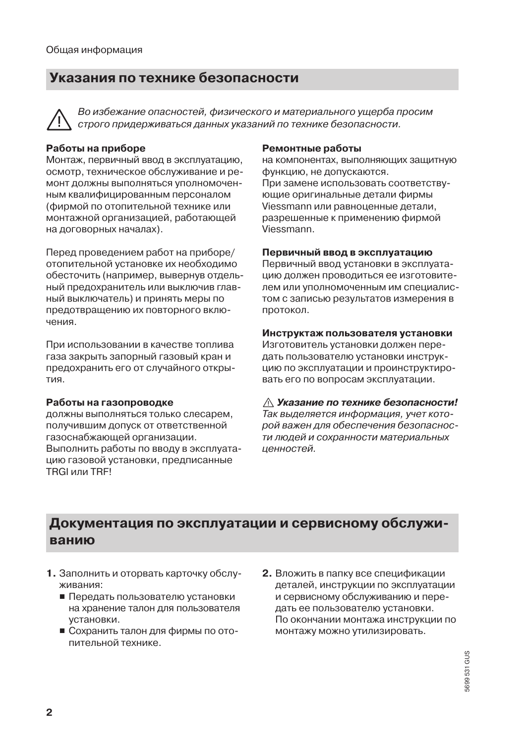# Указания по технике безопасности

Во избежание опасностей, физического и материального ущерба просим строго придерживаться данных указаний по технике безопасности.

#### Работы на приборе

Монтаж, первичный ввод в эксплуатацию, осмотр, техническое обслуживание и ремонт должны выполняться уполномоченным квалифицированным персоналом (фирмой по отопительной технике или монтажной организацией, работающей на договорных началах).

Перед проведением работ на приборе/ отопительной установке их необходимо обесточить (например, вывернув отдельный предохранитель или выключив главный выключатель) и принять меры по предотвращению их повторного включения.

При использовании в качестве топлива газа закрыть запорный газовый кран и предохранить его от случайного открытия

#### Работы на газопроводке

должны выполняться только слесарем, получившим допуск от ответственной газоснабжающей организации. Выполнить работы по вводу в эксплуатацию газовой установки, предписанные TRGI или TRF!

#### Ремонтные работы

на компонентах, выполняющих защитную функцию, не допускаются. При замене использовать соответствующие оригинальные детали фирмы Viessmann или равноценные детали, разрешенные к применению фирмой Viessmann.

#### Первичный ввод в эксплуатацию

Первичный ввод установки в эксплуатацию должен проводиться ее изготовителем или уполномоченным им специалистом с записью результатов измерения в протокол.

#### Инструктаж пользователя установки

Изготовитель установки должен передать пользователю установки инструкцию по эксплуатации и проинструктировать его по вопросам эксплуатации.

∧ Указание по технике безопасности! Так выделяется информация, учет которой важен для обеспечения безопасности людей и сохранности материальных ценностей.

# Документация по эксплуатации и сервисному обслуживанию

- 1. Заполнить и оторвать карточку обслуживания:
	- Передать пользователю установки на хранение талон для пользователя установки.
	- Сохранить талон для фирмы по отопительной технике
- 2. Вложить в папку все спецификации деталей, инструкции по эксплуатации и сервисному обслуживанию и передать ее пользователю установки. По окончании монтажа инструкции по монтажу можно утилизировать.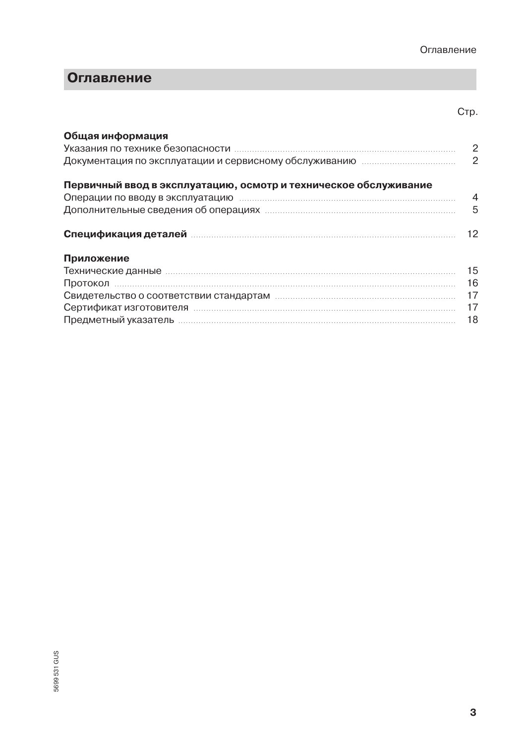# **Оглавление**

### Cтp.

| Общая информация                                                            |     |
|-----------------------------------------------------------------------------|-----|
| Первичный ввод в эксплуатацию, осмотр и техническое обслуживание            |     |
| Операции по вводу в эксплуатацию пополнительно по полности на тем и части 4 |     |
|                                                                             |     |
|                                                                             | -12 |
| Приложение                                                                  |     |
|                                                                             |     |
| Протокол повеспечение на тем 16                                             |     |
|                                                                             |     |
|                                                                             |     |
|                                                                             |     |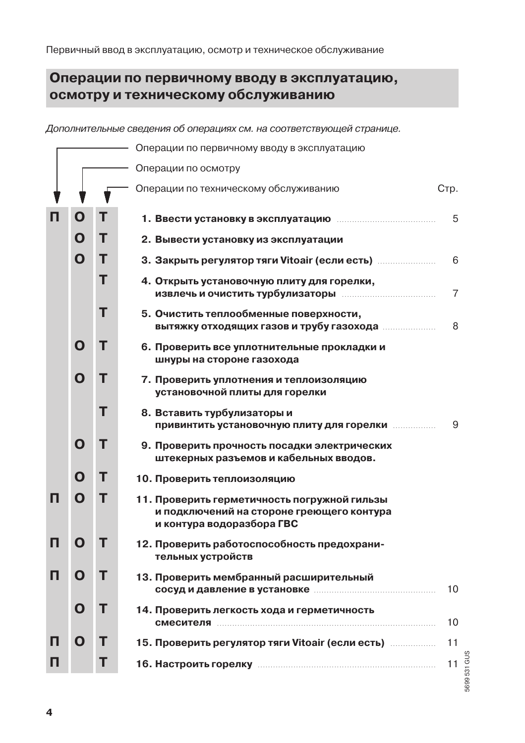# Операции по первичному вводу в эксплуатацию, осмотру и техническому обслуживанию

Дополнительные сведения об операциях см. на соответствующей странице.

|   |             |   | Операции по первичному вводу в эксплуатацию                                                                            |                   |
|---|-------------|---|------------------------------------------------------------------------------------------------------------------------|-------------------|
|   |             |   | Операции по осмотру                                                                                                    |                   |
|   |             |   | Операции по техническому обслуживанию                                                                                  | Стр.              |
|   | $\mathbf O$ | Т |                                                                                                                        | 5                 |
|   | $\mathbf O$ | т | 2. Вывести установку из эксплуатации                                                                                   |                   |
|   | $\mathbf O$ | т |                                                                                                                        | 6                 |
|   |             | т | 4. Открыть установочную плиту для горелки,<br>извлечь и очистить турбулизаторы поправнования                           | 7                 |
|   |             | т | 5. Очистить теплообменные поверхности,                                                                                 | 8                 |
|   | $\mathbf 0$ | т | 6. Проверить все уплотнительные прокладки и<br>шнуры на стороне газохода                                               |                   |
|   | $\mathbf O$ | т | 7. Проверить уплотнения и теплоизоляцию<br>установочной плиты для горелки                                              |                   |
|   |             | т | 8. Вставить турбулизаторы и                                                                                            | 9                 |
|   | $\mathbf 0$ | т | 9. Проверить прочность посадки электрических<br>штекерных разъемов и кабельных вводов.                                 |                   |
|   | O           | т | 10. Проверить теплоизоляцию                                                                                            |                   |
| п | $\Omega$    | т | 11. Проверить герметичность погружной гильзы<br>и подключений на стороне греющего контура<br>и контура водоразбора ГВС |                   |
| п | O           | т | 12. Проверить работоспособность предохрани-<br>тельных устройств                                                       |                   |
| п | O           | т | 13. Проверить мембранный расширительный                                                                                | 10                |
|   | $\mathbf 0$ | т | 14. Проверить легкость хода и герметичность                                                                            | 10                |
| п | O           | т |                                                                                                                        | 11                |
| п |             | т |                                                                                                                        | 5699531 GUS<br>11 |
|   |             |   |                                                                                                                        |                   |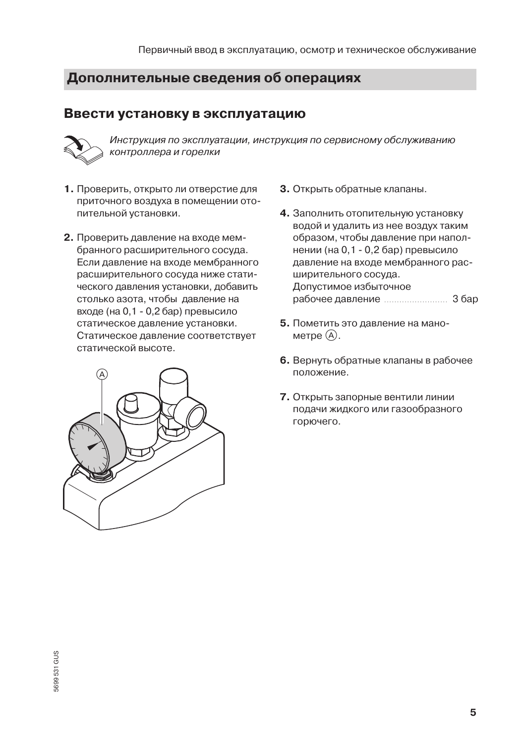# Дополнительные сведения об операциях

#### Ввести установку в эксплуатацию



Инструкция по эксплуатации, инструкция по сервисному обслуживанию контроллера и горелки

- 1. Проверить, открыто ли отверстие для приточного воздуха в помешении отопительной установки.
- 2. Проверить давление на входе мембранного расширительного сосуда. Если давление на входе мембранного расширительного сосуда ниже статического давления установки, добавить столько азота, чтобы давление на входе (на 0,1 - 0,2 бар) превысило статическое давление установки. Статическое давление соответствует статической высоте.



- 3. Открыть обратные клапаны.
- 4. Заполнить отопительную установку водой и удалить из нее воздух таким образом, чтобы давление при наполнении (на 0,1 - 0,2 бар) превысило давление на входе мембранного расширительного сосуда. Допустимое избыточное
- 5. Пометить это давление на манометре  $(A)$ .
- 6. Вернуть обратные клапаны в рабочее положение.
- 7. Открыть запорные вентили линии подачи жидкого или газообразного горючего.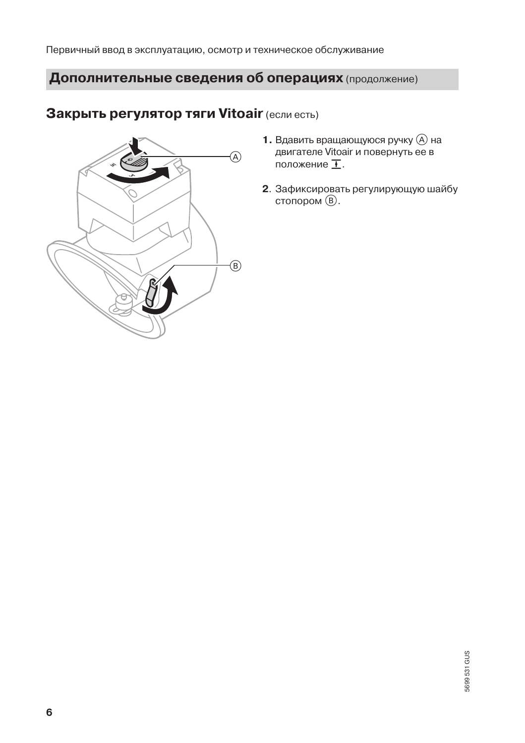Первичный ввод в эксплуатацию, осмотр и техническое обслуживание

# Дополнительные сведения об операциях (продолжение)

# Закрыть регулятор тяги Vitoair (если есть)



- 1. Вдавить вращающуюся ручку (А) на двигателе Vitoair и повернуть ее в положение Т.
- 2. Зафиксировать регулирующую шайбу стопором (В).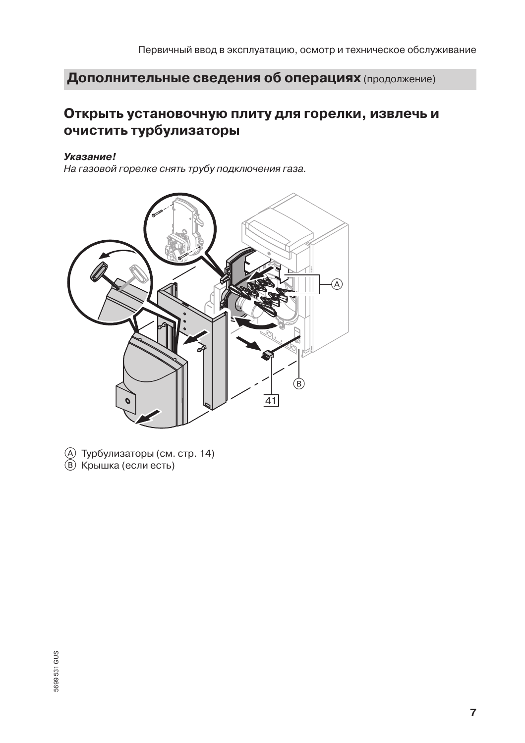## Открыть установочную плиту для горелки, извлечь и очистить турбулизаторы

#### Указание!

На газовой горелке снять трубу подключения газа.



- (A) Турбулизаторы (см. стр. 14)
- (В) Крышка (если есть)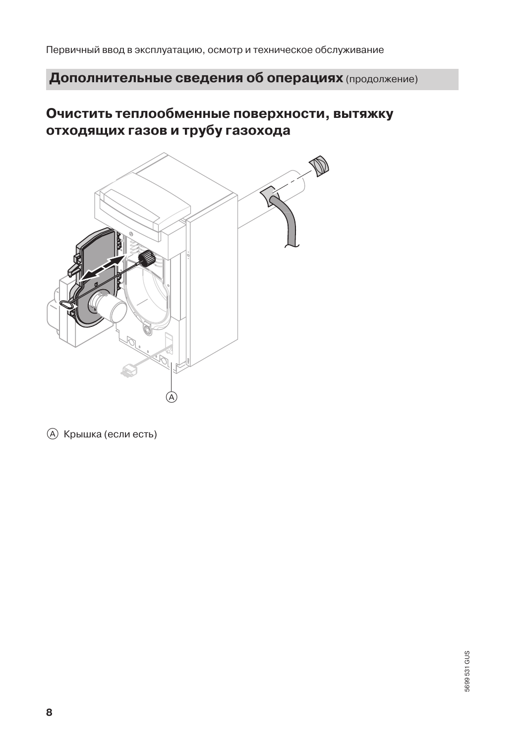Первичный ввод в эксплуатацию, осмотр и техническое обслуживание

# Дополнительные сведения об операциях (продолжение)

# Очистить теплообменные поверхности, вытяжку отходящих газов и трубу газохода



**(A)** Крышка (если есть)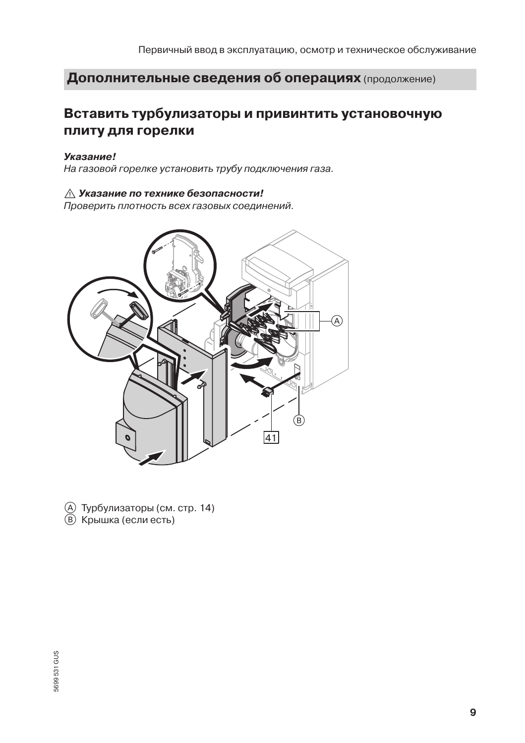# Вставить турбулизаторы и привинтить установочную плиту для горелки

#### Указание!

На газовой горелке установить трубу подключения газа.

#### ∆ Указание по технике безопасности!

Проверить плотность всех газовых соединений.



- (A) Турбулизаторы (см. стр. 14)
- **(B)** Крышка (если есть)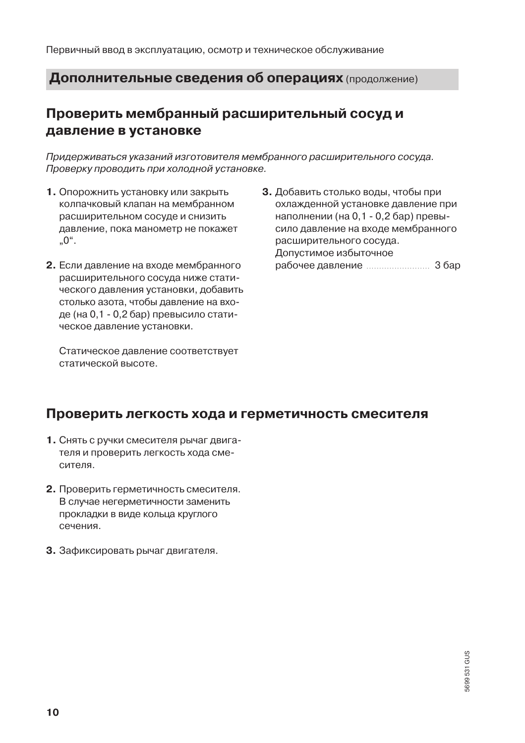# Проверить мембранный расширительный сосуд и давление в установке

Придерживаться указаний изготовителя мембранного расширительного сосуда. Проверку проводить при холодной установке.

- 1. Опорожнить установку или закрыть колпачковый клапан на мембранном расширительном сосуде и снизить давление, пока манометр не покажет  $.0^\circ$ .
- 2. Если давление на входе мембранного расширительного сосуда ниже статического давления установки, добавить столько азота, чтобы давление на входе (на 0,1 - 0,2 бар) превысило статическое давление установки.

Статическое давление соответствует статической высоте.

3. Добавить столько воды, чтобы при охлажденной установке давление при наполнении (на 0,1 - 0,2 бар) превысило давление на входе мембранного расширительного сосуда. Допустимое избыточное 

#### Проверить легкость хода и герметичность смесителя

- 1. Снять с ручки смесителя рычаг двигателя и проверить легкость хода смесителя.
- 2. Проверить герметичность смесителя. В случае негерметичности заменить прокладки в виде кольца круглого сечения.
- 3. Зафиксировать рычаг двигателя.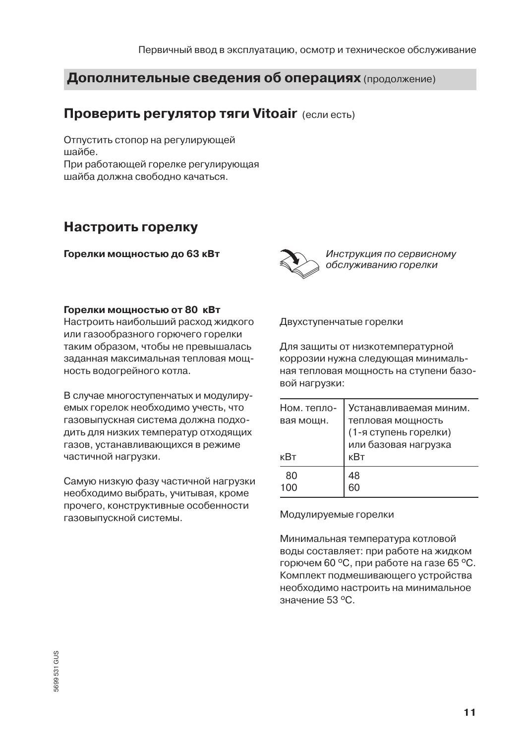### **Проверить регулятор тяги Vitoair (если есть)**

Отпустить стопор на регулирующей шайбе. При работающей горелке регулирующая шайба должна свободно качаться.

## Настроить горелку

#### Горелки мощностью до 63 кВт



Настроить наибольший расход жидкого или газообразного горючего горелки таким образом, чтобы не превышалась заданная максимальная тепловая мошность водогрейного котла.

В случае многоступенчатых и модулируемых горелок необходимо учесть, что газовыпускная система должна подходить для низких температур отходящих газов, устанавливающихся в режиме частичной нагрузки.

Самую низкую фазу частичной нагрузки необходимо выбрать, учитывая, кроме прочего, конструктивные особенности газовыпускной системы.



Инструкция по сервисному обслуживанию горелки

#### Двухступенчатые горелки

Для защиты от низкотемпературной коррозии нужна следующая минимальная тепловая мощность на ступени базовой нагрузки:

| Ном. тепло-<br>вая мощн. | Устанавливаемая миним.<br>тепловая мощность<br>(1-я ступень горелки)<br>или базовая нагрузка |
|--------------------------|----------------------------------------------------------------------------------------------|
| кВт                      | кВт                                                                                          |
| 80<br>100                | 48                                                                                           |

Модулируемые горелки

Минимальная температура котловой воды составляет: при работе на жидком горючем 60 °С, при работе на газе 65 °С. Комплект подмешивающего устройства необходимо настроить на минимальное значение 53 °С.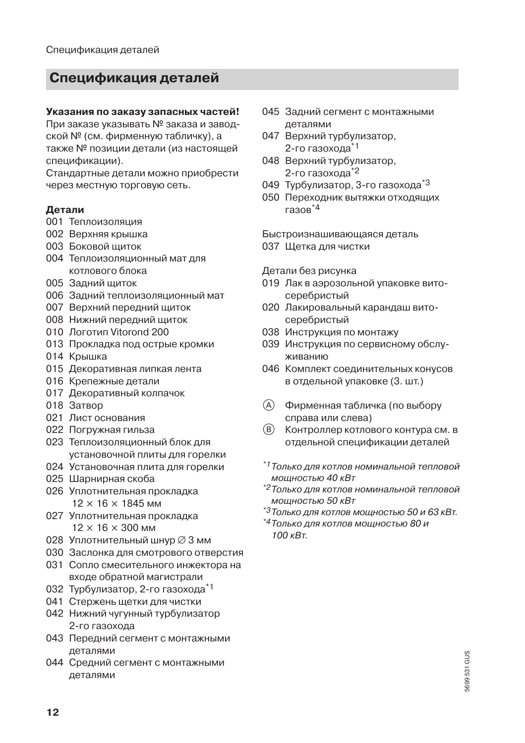# Спецификация деталей

#### Указания по заказу запасных частей!

При заказе указывать № заказа и заводской № (см. фирменную табличку), а также № позиции детали (из настоящей спецификации).

Стандартные детали можно приобрести через местную торговую сеть.

#### Детали

- 001 Теплоизоляция
- 002 Верхняя крышка
- 003 Боковой щиток
- 004 Теплоизоляционный мат для котлового блока
- 005 Задний шиток
- 006 Задний теплоизоляционный мат
- 007 Верхний передний шиток
- 008 Нижний передний щиток
- 010 Логотип Vitorond 200
- 013 Прокладка под острые кромки
- 014 Крышка
- 015 Декоративная липкая лента
- 016 Крепежные детали
- 017 Декоративный колпачок
- 018 Затвор
- 021 Лист основания
- 022 Погружная гильза
- 023 Теплоизоляционный блок для установочной плиты для горелки
- 024 Установочная плита для горелки
- 025 Шарнирная скоба
- 026 Уплотнительная прокладка  $12 \times 16 \times 1845$  MM
- 027 Уплотнительная прокладка  $12 \times 16 \times 300$  MM
- 028 Уплотнительный шнур ⊘ 3 мм
- 030 Заслонка для смотрового отверстия
- 031 Сопло смесительного инжектора на входе обратной магистрали
- 032 Турбулизатор, 2-го газохода\*1
- 041 Стержень щетки для чистки
- 042 Нижний чугунный турбулизатор 2-го газохода
- 043 Передний сегмент с монтажными деталями
- 044 Средний сегмент с монтажными деталями
- 045 Залний сегмент с монтажными деталями
- 047 Верхний турбулизатор, 2-го газохода\*1
- 048 Верхний турбулизатор, 2-го газохода\*2
- 049 Турбулизатор, 3-го газохода<sup>\*3</sup>
- 050 Переходник вытяжки отходящих  $rasOR<sup>*4</sup>$

Быстроизнашивающаяся деталь

037 Щетка для чистки

#### Детали без рисунка

- 019 Лак в аэрозольной упаковке витосеребристый
- 020 Лакировальный карандаш витосеребристый
- 038 Инструкция по монтажу
- 039 Инструкция по сервисному обслуживанию
- 046 Комплект соединительных конусов в отдельной упаковке (3. шт.)
- (A) Фирменная табличка (по выбору справа или слева)
- (B) Контроллер котлового контура см. в отдельной спецификации деталей
- <sup>\*1</sup> Только для котлов номинальной тепловой **мошностью 40 кВт**
- \*<sup>2</sup>Только для котлов номинальной тепловой **мошностью 50 кВт**
- \*3 Только для котлов мощностью 50 и 63 кВт.
- \*<sup>4</sup> Только для котлов мощностью 80 и  $100 \text{ kRT}$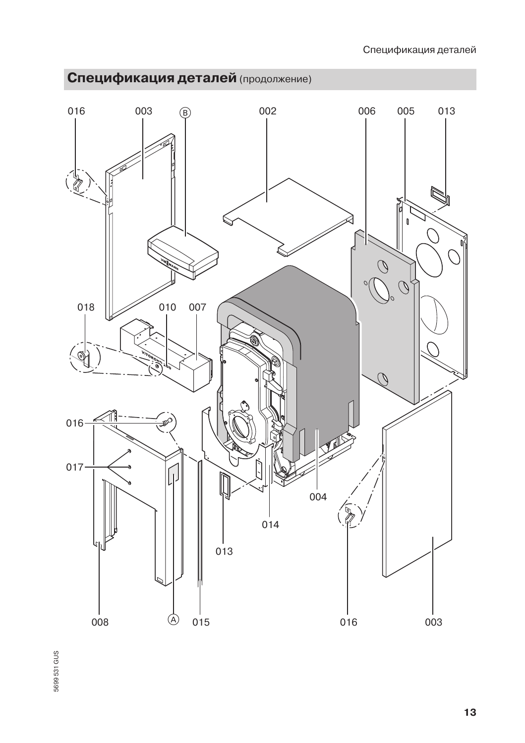

5699 531 GUS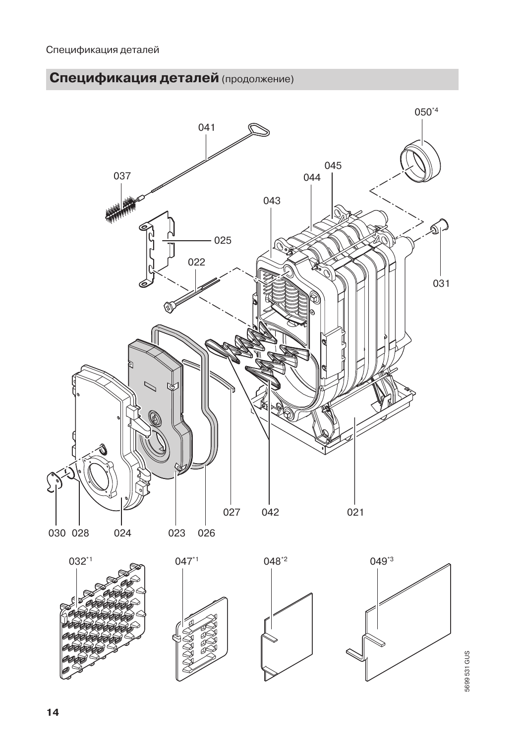



5699531 GUS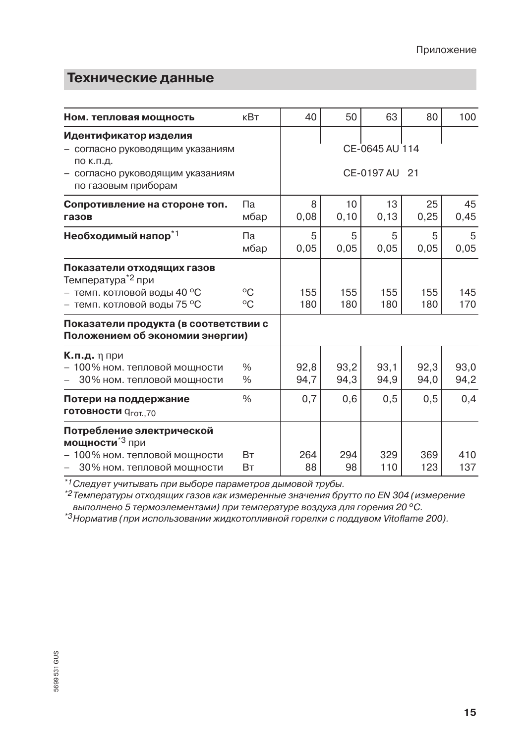# Технические данные

| Ном. тепловая мощность                                                                                                                                             | кВт              | 40           | 50           | 63                              | 80           | 100          |
|--------------------------------------------------------------------------------------------------------------------------------------------------------------------|------------------|--------------|--------------|---------------------------------|--------------|--------------|
| Идентификатор изделия<br>- согласно руководящим указаниям<br>ПО К.П.Д.<br>- согласно руководящим указаниям<br>по газовым приборам                                  |                  |              |              | CE-0645 AU 114<br>CE-0197 AU 21 |              |              |
| Сопротивление на стороне топ.<br>газов                                                                                                                             | Па<br>мбар       | 8<br>0,08    | 10<br>0, 10  | 13<br>0,13                      | 25<br>0,25   | 45<br>0,45   |
| Необходимый напор*1                                                                                                                                                | $\Box$ a<br>мбар | 5<br>0.05    | 5<br>0,05    | 5<br>0.05                       | 5<br>0.05    | 5<br>0,05    |
| Показатели отходящих газов<br>Температура <sup>*2</sup> при<br>- темп. котловой воды 40 °С<br>- темп. котловой воды 75 °С<br>Показатели продукта (в соответствии с | °C<br>°C         | 155<br>180   | 155<br>180   | 155<br>180                      | 155<br>180   | 145<br>170   |
| Положением об экономии энергии)                                                                                                                                    |                  |              |              |                                 |              |              |
| $K.n.a.$ n при<br>- 100% ном. тепловой мощности<br>30% ном. тепловой мощности                                                                                      | $\%$<br>%        | 92,8<br>94,7 | 93,2<br>94,3 | 93.1<br>94,9                    | 92,3<br>94,0 | 93,0<br>94,2 |
| Потери на поддержание<br>готовности q <sub>гот.70</sub>                                                                                                            | $\%$             | 0,7          | 0,6          | 0,5                             | 0,5          | 0,4          |
| Потребление электрической<br>мощности <sup>*3</sup> при<br>- 100% ном. тепловой мощности<br>30% ном. тепловой мощности                                             | Bт<br>Bт         | 264<br>88    | 294<br>98    | 329<br>110                      | 369<br>123   | 410<br>137   |

\*1 Следует учитывать при выборе параметров дымовой трубы.

\*2 Температуры отходящих газов как измеренные значения брутто по EN 304 (измерение выполнено 5 термоэлементами) при температуре воздуха для горения 20 °С.

\*3 Норматив (при использовании жидкотопливной горелки с поддувом Vitoflame 200).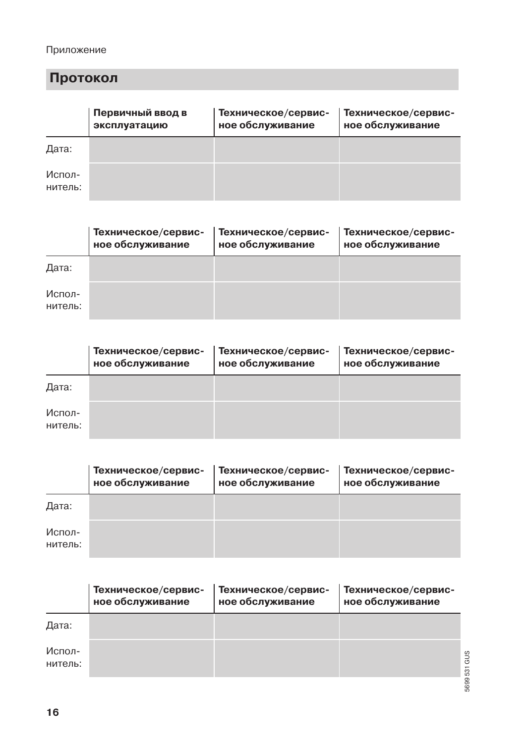### Приложение

# Протокол

|                   | Первичный ввод в<br>эксплуатацию | Техническое/сервис-<br>ное обслуживание | Техническое/сервис-<br>ное обслуживание |
|-------------------|----------------------------------|-----------------------------------------|-----------------------------------------|
| Дата:             |                                  |                                         |                                         |
| Испол-<br>нитель: |                                  |                                         |                                         |

|                   | Техническое/сервис-<br>ное обслуживание | Техническое/сервис-<br>ное обслуживание | Техническое/сервис-<br>ное обслуживание |
|-------------------|-----------------------------------------|-----------------------------------------|-----------------------------------------|
| Дата:             |                                         |                                         |                                         |
| Испол-<br>нитель: |                                         |                                         |                                         |

|                   | Техническое/сервис-<br>ное обслуживание | Техническое/сервис-<br>ное обслуживание | Техническое/сервис-<br>ное обслуживание |
|-------------------|-----------------------------------------|-----------------------------------------|-----------------------------------------|
| Дата:             |                                         |                                         |                                         |
| Испол-<br>нитель: |                                         |                                         |                                         |

|                   | Техническое/сервис-<br>ное обслуживание | Техническое/сервис-<br>ное обслуживание | Техническое/сервис-<br>ное обслуживание |
|-------------------|-----------------------------------------|-----------------------------------------|-----------------------------------------|
| Дата:             |                                         |                                         |                                         |
| Испол-<br>нитель: |                                         |                                         |                                         |

|                   | Техническое/сервис-<br>ное обслуживание | Техническое/сервис-<br>ное обслуживание | Техническое/сервис-<br>ное обслуживание |
|-------------------|-----------------------------------------|-----------------------------------------|-----------------------------------------|
| Дата:             |                                         |                                         |                                         |
| Испол-<br>нитель: |                                         |                                         |                                         |

5699 531 GUS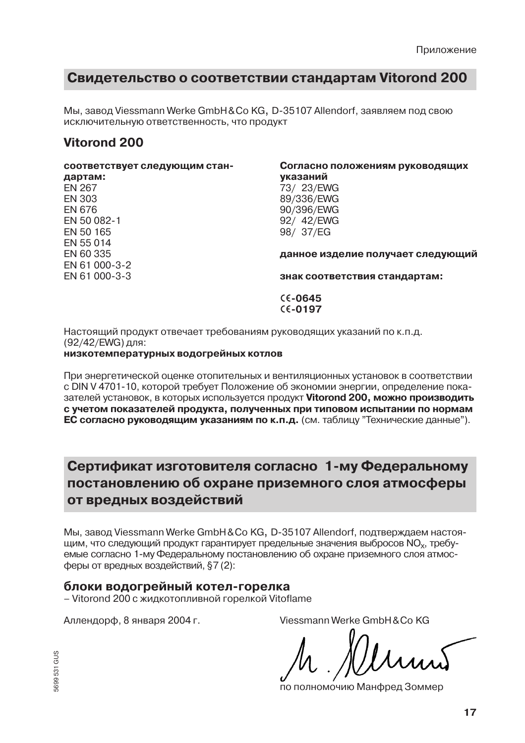#### Свидетельство о соответствии стандартам Vitorond 200

Мы, завод Viessmann Werke GmbH & Co KG, D-35107 Allendorf, заявляем под свою ИСКЛЮЧИТЕЛЬНУЮ ОТВЕТСТВЕННОСТЬ, ЧТО ПООДУКТ

#### Vitorond 200

| Согласно положениям руководящих   |
|-----------------------------------|
| указаний                          |
| 73/23/EWG                         |
| 89/336/EWG                        |
| 90/396/EWG                        |
| 92/ 42/EWG                        |
| 98/ 37/EG                         |
|                                   |
| данное изделие получает следующий |
|                                   |
| знак соответствия стандартам:     |
| $C_{0.0645}$                      |
| $C_{0.0197}$                      |
|                                   |

Настоящий продукт отвечает требованиям руководящих указаний по к.п.д. (92/42/EWG) для:

низкотемпературных водогрейных котлов

При энергетической оценке отопительных и вентиляционных установок в соответствии с DIN V 4701-10, которой требует Положение об экономии энергии, определение показателей установок, в которых используется продукт Vitorond 200, можно производить с учетом показателей продукта, полученных при типовом испытании по нормам ЕС согласно руководящим указаниям по к.п.д. (см. таблицу "Технические данные").

# Сертификат изготовителя согласно 1-му Федеральному постановлению об охране приземного слоя атмосферы от вредных воздействий

Мы, завод Viessmann Werke GmbH & Co KG, D-35107 Allendorf, подтверждаем настоящим, что следующий продукт гарантирует предельные значения выбросов NO<sub>x</sub>, требуемые согласно 1-му Федеральному постановлению об охране приземного слоя атмосферы от вредных воздействий, §7(2):

#### блоки водогрейный котел-горелка

- Vitorond 200 с жидкотопливной горелкой Vitoflame

Аллендорф, 8 января 2004 г.

Viessmann Werke GmbH & Co KG

по полномочию Манфред Зоммер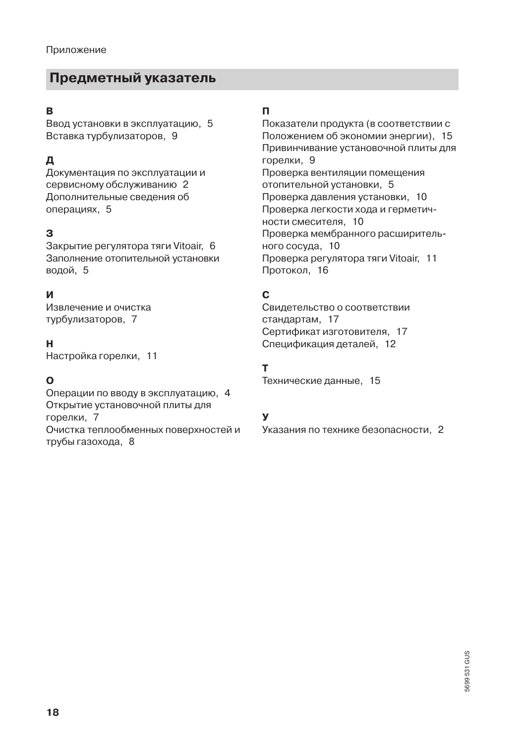### Предметный указатель

#### B

Ввод установки в эксплуатацию, 5 Вставка турбулизаторов, 9

# Д

Документация по эксплуатации и сервисному обслуживанию 2 Дополнительные сведения об операциях, 5

### $\overline{\mathbf{3}}$

Закрытие регулятора тяги Vitoair, 6 Заполнение отопительной установки водой, 5

#### И

Извлечение и очистка турбулизаторов, 7

#### н

Настройка горелки, 11

### $\overline{O}$

Операции по вводу в эксплуатацию, 4 Открытие установочной плиты для горелки, 7 Очистка теплообменных поверхностей и трубы газохода, 8

#### $\mathbf{u}$

Показатели продукта (в соответствии с Положением об экономии энергии), 15 Привинчивание установочной плиты для горелки, 9 Проверка вентиляции помещения отопительной установки, 5 Проверка давления установки, 10 Проверка легкости хода и герметичности смесителя, 10 Проверка мембранного расширительного сосуда, 10 Проверка регулятора тяги Vitoair, 11 Протокол, 16

### Ć

Свидетельство о соответствии стандартам, 17 Сертификат изготовителя, 17 Спецификация деталей, 12

### T

Технические данные, 15

#### $\mathbf{y}$

Указания по технике безопасности, 2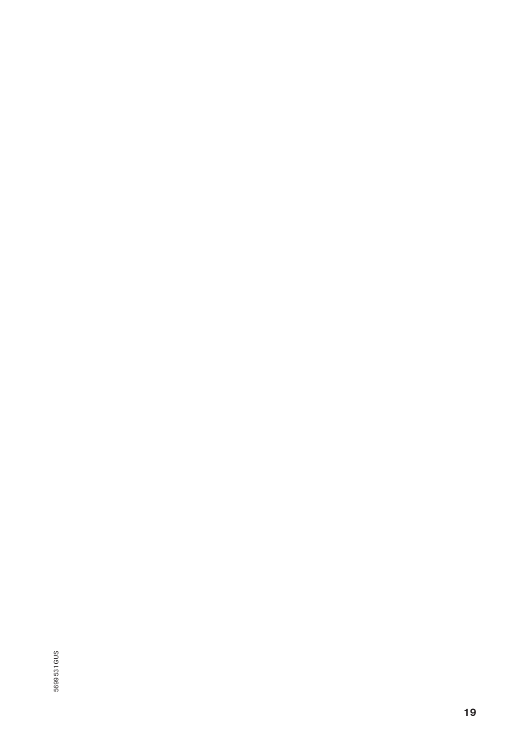5699 531 GUS